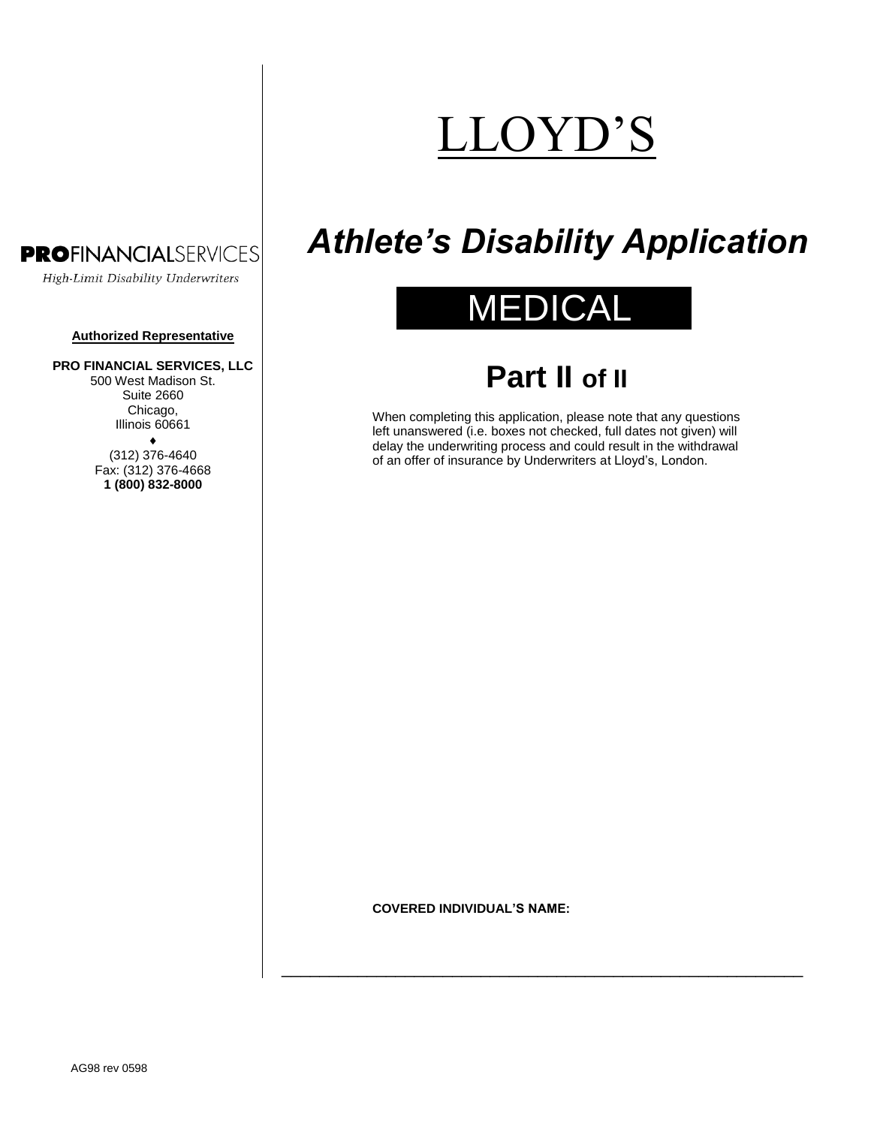# LLOYD'S

### **PROFINANCIALSERVICES**

High-Limit Disability Underwriters

#### **Authorized Representative**

#### **PRO FINANCIAL SERVICES, LLC**

500 West Madison St. Suite 2660 Chicago, Illinois 60661

> $\bullet$ (312) 376-4640 Fax: (312) 376-4668 **1 (800) 832-8000**

## *Athlete's Disability Application*

## MEDICA

### **Part II of II**

When completing this application, please note that any questions left unanswered (i.e. boxes not checked, full dates not given) will delay the underwriting process and could result in the withdrawal of an offer of insurance by Underwriters at Lloyd's, London.

#### **COVERED INDIVIDUAL'S NAME:**

\_\_\_\_\_\_\_\_\_\_\_\_\_\_\_\_\_\_\_\_\_\_\_\_\_\_\_\_\_\_\_\_\_\_\_\_\_\_\_\_\_\_\_\_\_\_\_\_\_\_\_\_\_\_\_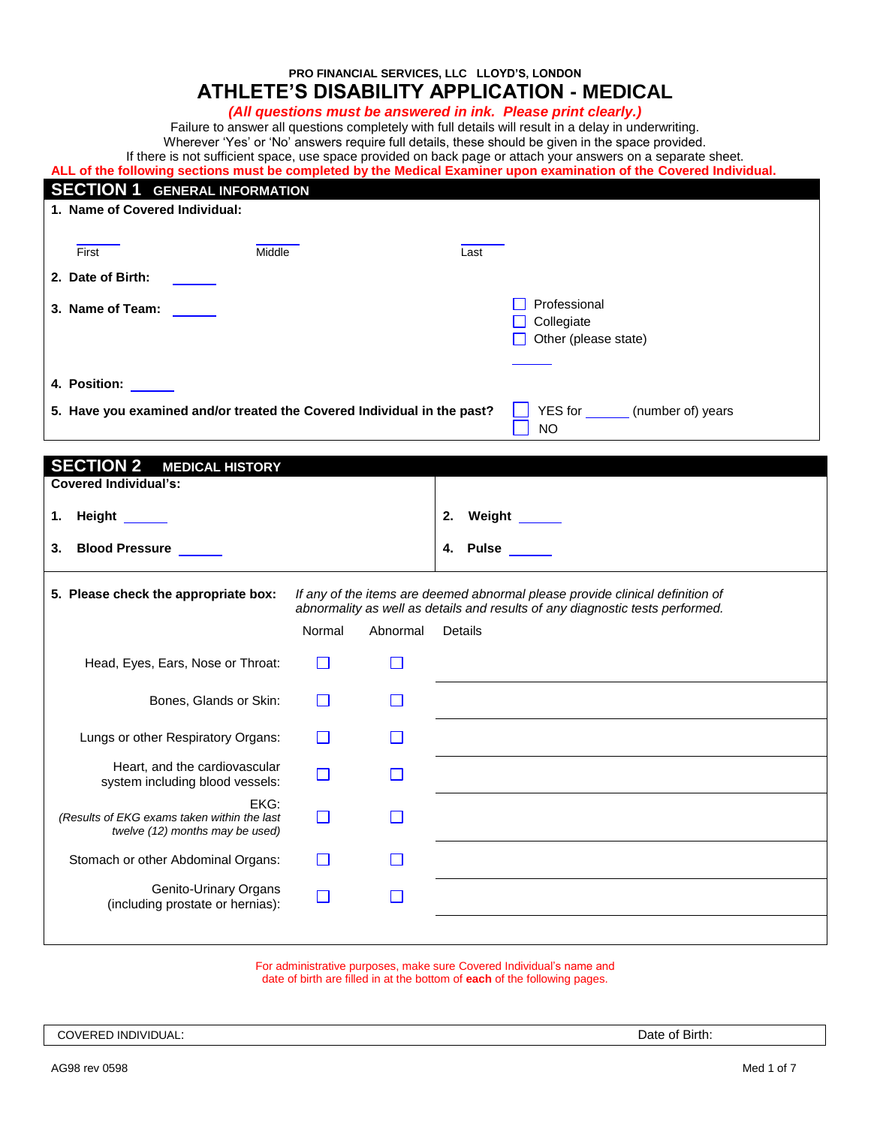**PRO FINANCIAL SERVICES, LLC LLOYD'S, LONDON**

### **ATHLETE'S DISABILITY APPLICATION - MEDICAL**

*(All questions must be answered in ink. Please print clearly.)*

Failure to answer all questions completely with full details will result in a delay in underwriting.

Wherever 'Yes' or 'No' answers require full details, these should be given in the space provided.

If there is not sufficient space, use space provided on back page or attach your answers on a separate sheet.

| ALL of the following sections must be completed by the Medical Examiner upon examination of the Covered Individual. |  |
|---------------------------------------------------------------------------------------------------------------------|--|
|---------------------------------------------------------------------------------------------------------------------|--|

| <b>SECTION 1 GENERAL INFORMATION</b>                                    |              |              |                                                                                                                                                                |
|-------------------------------------------------------------------------|--------------|--------------|----------------------------------------------------------------------------------------------------------------------------------------------------------------|
| 1. Name of Covered Individual:                                          |              |              |                                                                                                                                                                |
|                                                                         |              |              |                                                                                                                                                                |
| Middle<br>First                                                         |              |              | Last                                                                                                                                                           |
| 2. Date of Birth:                                                       |              |              |                                                                                                                                                                |
| 3. Name of Team:                                                        |              |              | Professional                                                                                                                                                   |
|                                                                         |              |              | Collegiate<br>U.                                                                                                                                               |
|                                                                         |              |              | Other (please state)<br><b>U</b>                                                                                                                               |
|                                                                         |              |              |                                                                                                                                                                |
| 4. Position: ______                                                     |              |              |                                                                                                                                                                |
| 5. Have you examined and/or treated the Covered Individual in the past? |              |              | YES for _______ (number of) years                                                                                                                              |
|                                                                         |              |              | <b>NO</b>                                                                                                                                                      |
| <b>SECTION 2</b><br><b>MEDICAL HISTORY</b>                              |              |              |                                                                                                                                                                |
| <b>Covered Individual's:</b>                                            |              |              |                                                                                                                                                                |
| Height ______<br>1.                                                     |              |              | 2.<br>Weight ______                                                                                                                                            |
|                                                                         |              |              |                                                                                                                                                                |
| <b>Blood Pressure</b><br>3.                                             |              |              | Pulse _____<br>4.                                                                                                                                              |
| 5. Please check the appropriate box:                                    |              |              |                                                                                                                                                                |
|                                                                         |              |              | If any of the items are deemed abnormal please provide clinical definition of<br>abnormality as well as details and results of any diagnostic tests performed. |
|                                                                         | Normal       | Abnormal     | Details                                                                                                                                                        |
| Head, Eyes, Ears, Nose or Throat:                                       | $\mathsf{L}$ | П            |                                                                                                                                                                |
|                                                                         |              |              |                                                                                                                                                                |
| Bones, Glands or Skin:                                                  | H            | $\mathbf{L}$ |                                                                                                                                                                |
|                                                                         |              |              |                                                                                                                                                                |
| Lungs or other Respiratory Organs:                                      | ΙI           | $\mathbf{L}$ |                                                                                                                                                                |
| Heart, and the cardiovascular                                           | $\Box$       | П            |                                                                                                                                                                |
| system including blood vessels:                                         |              |              |                                                                                                                                                                |
| EKG:<br>(Results of EKG exams taken within the last                     | $\Box$       | $\Box$       |                                                                                                                                                                |
| twelve (12) months may be used)                                         |              |              |                                                                                                                                                                |
| Stomach or other Abdominal Organs:                                      | П            | $\Box$       |                                                                                                                                                                |
| <b>Genito-Urinary Organs</b>                                            |              |              |                                                                                                                                                                |
| (including prostate or hernias):                                        | $\Box$       | П            |                                                                                                                                                                |
|                                                                         |              |              |                                                                                                                                                                |

For administrative purposes, make sure Covered Individual's name and date of birth are filled in at the bottom of **each** of the following pages.

COVERED INDIVIDUAL: **Date of Birth:**  $\blacksquare$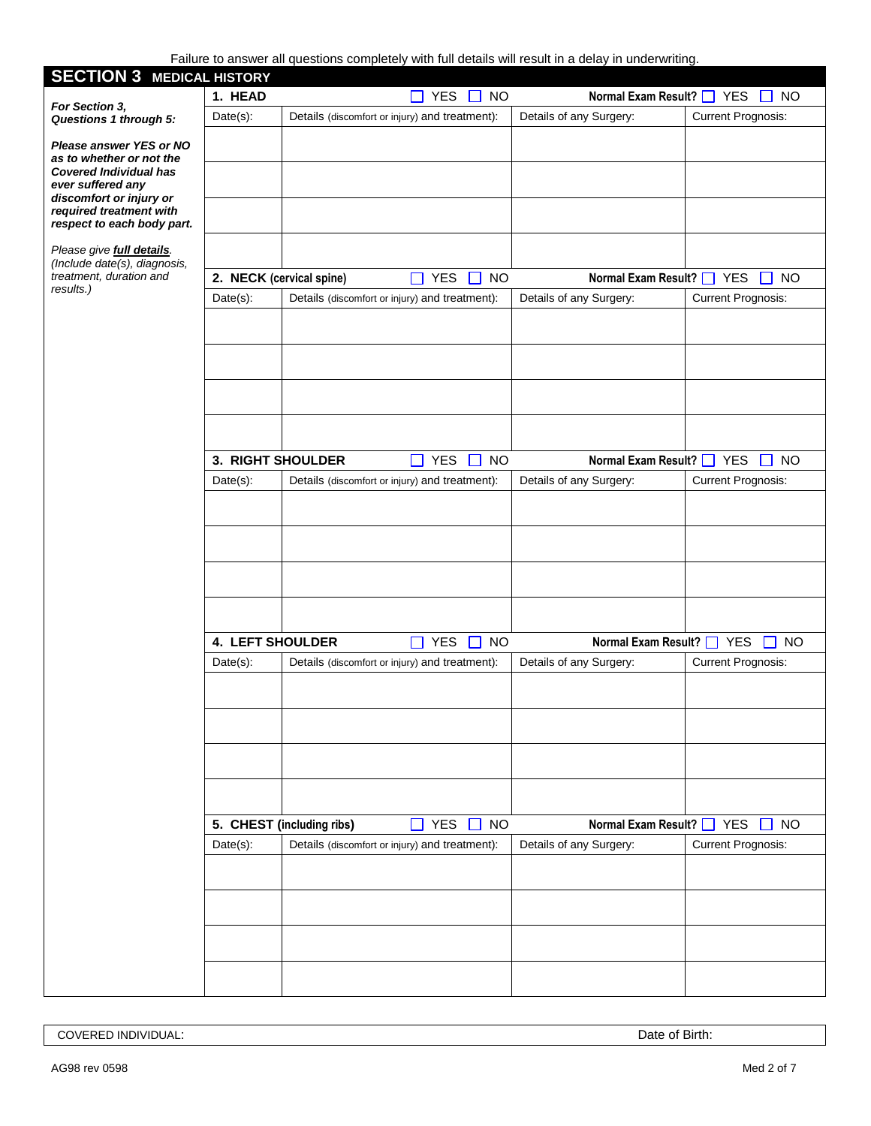Failure to answer all questions completely with full details will result in a delay in underwriting.

| <b>SECTION 3 MEDICAL HISTORY</b>                                 |                          |                           |                                                         | <b>Tallard to answer all questions completely with rule actails will result in a actay in unacriviting.</b> |                             |
|------------------------------------------------------------------|--------------------------|---------------------------|---------------------------------------------------------|-------------------------------------------------------------------------------------------------------------|-----------------------------|
|                                                                  | 1. HEAD                  |                           | $\Box$ YES $\Box$ NO                                    | Normal Exam Result?   YES                                                                                   | <b>NO</b>                   |
| For Section 3,<br><b>Questions 1 through 5:</b>                  | Date(s):                 |                           | Details (discomfort or injury) and treatment):          | Details of any Surgery:                                                                                     | <b>Current Prognosis:</b>   |
| Please answer YES or NO                                          |                          |                           |                                                         |                                                                                                             |                             |
| as to whether or not the                                         |                          |                           |                                                         |                                                                                                             |                             |
| <b>Covered Individual has</b>                                    |                          |                           |                                                         |                                                                                                             |                             |
| ever suffered any<br>discomfort or injury or                     |                          |                           |                                                         |                                                                                                             |                             |
| required treatment with                                          |                          |                           |                                                         |                                                                                                             |                             |
| respect to each body part.                                       |                          |                           |                                                         |                                                                                                             |                             |
| Please give <b>full details</b> .<br>(Include date(s), diagrams, |                          |                           |                                                         |                                                                                                             |                             |
| treatment, duration and                                          | 2. NECK (cervical spine) |                           | <b>YES</b><br>$\Box$ NO<br>П                            | Normal Exam Result?   YES                                                                                   | <b>NO</b>                   |
| results.)                                                        | $Date(s)$ :              |                           | Details (discomfort or injury) and treatment):          | Details of any Surgery:                                                                                     | <b>Current Prognosis:</b>   |
|                                                                  |                          |                           |                                                         |                                                                                                             |                             |
|                                                                  |                          |                           |                                                         |                                                                                                             |                             |
|                                                                  |                          |                           |                                                         |                                                                                                             |                             |
|                                                                  |                          |                           |                                                         |                                                                                                             |                             |
|                                                                  |                          |                           |                                                         |                                                                                                             |                             |
|                                                                  |                          |                           |                                                         |                                                                                                             |                             |
|                                                                  |                          |                           |                                                         |                                                                                                             |                             |
|                                                                  | 3. RIGHT SHOULDER        |                           | <b>YES</b><br><b>NO</b><br>$\mathbf{L}$<br>$\mathsf{L}$ | Normal Exam Result?   YES                                                                                   | <b>NO</b><br>$\perp$        |
|                                                                  | Date(s):                 |                           | Details (discomfort or injury) and treatment):          | Details of any Surgery:                                                                                     | <b>Current Prognosis:</b>   |
|                                                                  |                          |                           |                                                         |                                                                                                             |                             |
|                                                                  |                          |                           |                                                         |                                                                                                             |                             |
|                                                                  |                          |                           |                                                         |                                                                                                             |                             |
|                                                                  |                          |                           |                                                         |                                                                                                             |                             |
|                                                                  |                          |                           |                                                         |                                                                                                             |                             |
|                                                                  |                          |                           |                                                         |                                                                                                             |                             |
|                                                                  |                          |                           |                                                         |                                                                                                             |                             |
|                                                                  | <b>4. LEFT SHOULDER</b>  |                           | <b>YES</b><br><b>NO</b><br>$\Box$<br>$\blacksquare$     | Normal Exam Result?   YES                                                                                   | <b>NO</b><br>$\blacksquare$ |
|                                                                  | Date(s):                 |                           | Details (discomfort or injury) and treatment):          | Details of any Surgery:                                                                                     | <b>Current Prognosis:</b>   |
|                                                                  |                          |                           |                                                         |                                                                                                             |                             |
|                                                                  |                          |                           |                                                         |                                                                                                             |                             |
|                                                                  |                          |                           |                                                         |                                                                                                             |                             |
|                                                                  |                          |                           |                                                         |                                                                                                             |                             |
|                                                                  |                          |                           |                                                         |                                                                                                             |                             |
|                                                                  |                          |                           |                                                         |                                                                                                             |                             |
|                                                                  |                          |                           |                                                         |                                                                                                             |                             |
|                                                                  |                          | 5. CHEST (including ribs) | <b>YES</b><br>$\square$ NO<br>n l                       | Normal Exam Result? □                                                                                       | <b>YES</b><br><b>NO</b>     |
|                                                                  | Date(s):                 |                           | Details (discomfort or injury) and treatment):          | Details of any Surgery:                                                                                     | <b>Current Prognosis:</b>   |
|                                                                  |                          |                           |                                                         |                                                                                                             |                             |
|                                                                  |                          |                           |                                                         |                                                                                                             |                             |
|                                                                  |                          |                           |                                                         |                                                                                                             |                             |
|                                                                  |                          |                           |                                                         |                                                                                                             |                             |
|                                                                  |                          |                           |                                                         |                                                                                                             |                             |
|                                                                  |                          |                           |                                                         |                                                                                                             |                             |

COVERED INDIVIDUAL: Date of Birth:  $\blacksquare$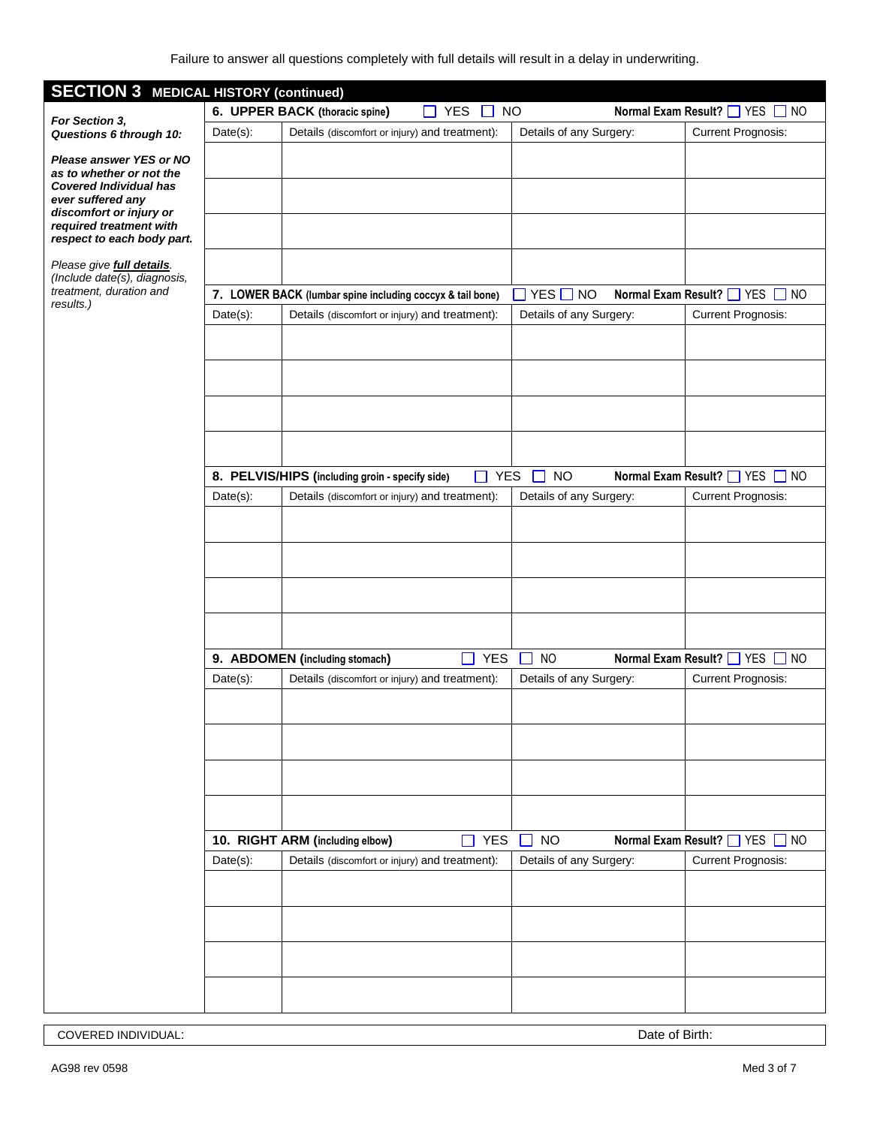| <b>SECTION 3 MEDICAL HISTORY (continued)</b>              |                                                 |                                                                                   |                          |                                |                       |                                        |  |
|-----------------------------------------------------------|-------------------------------------------------|-----------------------------------------------------------------------------------|--------------------------|--------------------------------|-----------------------|----------------------------------------|--|
|                                                           | 6. UPPER BACK (thoracic spine)<br>YES $\Box$ NO |                                                                                   |                          |                                |                       | Normal Exam Result?   YES   NO         |  |
| For Section 3,<br>Questions 6 through 10:                 | $Date(s)$ :                                     | Details (discomfort or injury) and treatment):                                    |                          | Details of any Surgery:        |                       | <b>Current Prognosis:</b>              |  |
| Please answer YES or NO                                   |                                                 |                                                                                   |                          |                                |                       |                                        |  |
| as to whether or not the<br><b>Covered Individual has</b> |                                                 |                                                                                   |                          |                                |                       |                                        |  |
| ever suffered any                                         |                                                 |                                                                                   |                          |                                |                       |                                        |  |
| discomfort or injury or<br>required treatment with        |                                                 |                                                                                   |                          |                                |                       |                                        |  |
| respect to each body part.                                |                                                 |                                                                                   |                          |                                |                       |                                        |  |
| Please give full details.<br>(Include date(s), diagnosis, |                                                 |                                                                                   |                          |                                |                       |                                        |  |
| treatment, duration and<br>results.)                      |                                                 | 7. LOWER BACK (lumbar spine including coccyx & tail bone)                         |                          | $\Box$ YES $\Box$<br><b>NO</b> | Normal Exam Result? □ | <b>YES</b><br>$\Box$ NO                |  |
|                                                           | $Date(s)$ :                                     | Details (discomfort or injury) and treatment):                                    |                          | Details of any Surgery:        |                       | <b>Current Prognosis:</b>              |  |
|                                                           |                                                 |                                                                                   |                          |                                |                       |                                        |  |
|                                                           |                                                 |                                                                                   |                          |                                |                       |                                        |  |
|                                                           |                                                 |                                                                                   |                          |                                |                       |                                        |  |
|                                                           |                                                 |                                                                                   |                          |                                |                       |                                        |  |
|                                                           |                                                 |                                                                                   |                          |                                |                       |                                        |  |
|                                                           |                                                 |                                                                                   |                          |                                |                       |                                        |  |
|                                                           |                                                 | 8. PELVIS/HIPS (including groin - specify side)                                   | <b>YES</b>               | <b>NO</b>                      |                       | Normal Exam Result?   YES   NO         |  |
|                                                           |                                                 |                                                                                   |                          | $\Box$                         |                       |                                        |  |
|                                                           | $Date(s)$ :                                     | Details (discomfort or injury) and treatment):                                    |                          | Details of any Surgery:        |                       | <b>Current Prognosis:</b>              |  |
|                                                           |                                                 |                                                                                   |                          |                                |                       |                                        |  |
|                                                           |                                                 |                                                                                   |                          |                                |                       |                                        |  |
|                                                           |                                                 |                                                                                   |                          |                                |                       |                                        |  |
|                                                           |                                                 |                                                                                   |                          |                                |                       |                                        |  |
|                                                           |                                                 |                                                                                   |                          |                                |                       |                                        |  |
|                                                           |                                                 |                                                                                   |                          |                                |                       |                                        |  |
|                                                           |                                                 | 9. ABDOMEN (including stomach)                                                    | <b>YES</b>               | <b>NO</b>                      |                       | Normal Exam Result?   YES<br>$\Box$ NO |  |
|                                                           | $Date(s)$ :                                     | Details (discomfort or injury) and treatment):                                    |                          | Details of any Surgery:        |                       | <b>Current Prognosis:</b>              |  |
|                                                           |                                                 |                                                                                   |                          |                                |                       |                                        |  |
|                                                           |                                                 |                                                                                   |                          |                                |                       |                                        |  |
|                                                           |                                                 |                                                                                   |                          |                                |                       |                                        |  |
|                                                           |                                                 |                                                                                   |                          |                                |                       |                                        |  |
|                                                           |                                                 |                                                                                   |                          |                                |                       |                                        |  |
|                                                           |                                                 |                                                                                   |                          |                                |                       |                                        |  |
|                                                           |                                                 |                                                                                   | $\overline{\phantom{a}}$ | <b>NO</b>                      |                       | <b>YES</b>                             |  |
|                                                           | Date(s):                                        | 10. RIGHT ARM (including elbow)<br>Details (discomfort or injury) and treatment): | <b>YES</b>               | Details of any Surgery:        | Normal Exam Result?   | $\Box$ NO<br><b>Current Prognosis:</b> |  |
|                                                           |                                                 |                                                                                   |                          |                                |                       |                                        |  |
|                                                           |                                                 |                                                                                   |                          |                                |                       |                                        |  |
|                                                           |                                                 |                                                                                   |                          |                                |                       |                                        |  |
|                                                           |                                                 |                                                                                   |                          |                                |                       |                                        |  |
|                                                           |                                                 |                                                                                   |                          |                                |                       |                                        |  |
|                                                           |                                                 |                                                                                   |                          |                                |                       |                                        |  |
|                                                           |                                                 |                                                                                   |                          |                                |                       |                                        |  |

**COVERED INDIVIDUAL:** Date of Birth: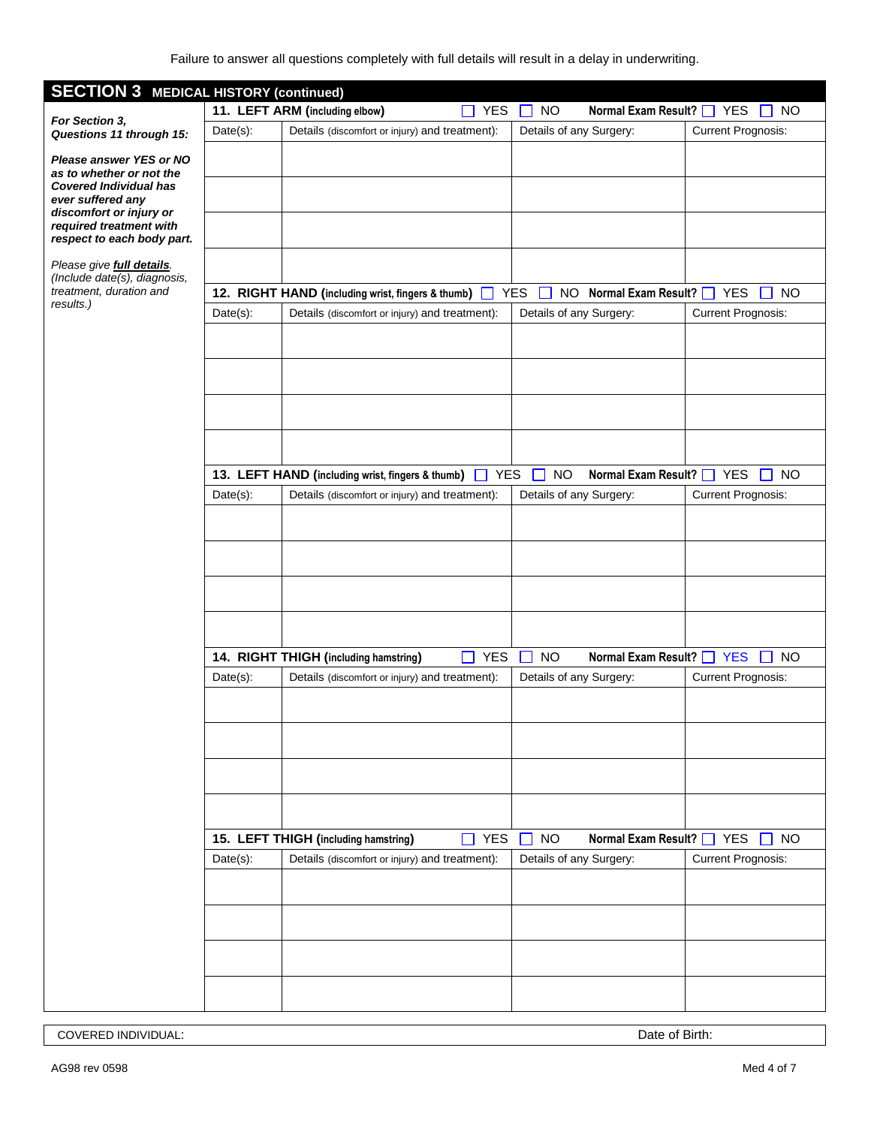| <b>SECTION 3 MEDICAL HISTORY (continued)</b>                                                                                                                                                  |                                                                                                              |                                                                                         |                            |                                                |                            |                                                                      |  |
|-----------------------------------------------------------------------------------------------------------------------------------------------------------------------------------------------|--------------------------------------------------------------------------------------------------------------|-----------------------------------------------------------------------------------------|----------------------------|------------------------------------------------|----------------------------|----------------------------------------------------------------------|--|
|                                                                                                                                                                                               |                                                                                                              | 11. LEFT ARM (including elbow)                                                          | <b>YES</b><br>$\mathsf{L}$ | $\Box$ NO                                      | Normal Exam Result?   YES  | $\Box$ NO                                                            |  |
| For Section 3,<br>Questions 11 through 15:                                                                                                                                                    | $Date(s)$ :                                                                                                  | Details (discomfort or injury) and treatment):                                          |                            | Details of any Surgery:                        |                            | <b>Current Prognosis:</b>                                            |  |
| Please answer YES or NO<br>as to whether or not the<br><b>Covered Individual has</b><br>ever suffered any<br>discomfort or injury or<br>required treatment with<br>respect to each body part. |                                                                                                              |                                                                                         |                            |                                                |                            |                                                                      |  |
| Please give full details.                                                                                                                                                                     |                                                                                                              |                                                                                         |                            |                                                |                            |                                                                      |  |
| (Include date(s), diagnosis,<br>treatment, duration and                                                                                                                                       | <b>YES</b><br>NO Normal Exam Result?   YES<br>12. RIGHT HAND (including wrist, fingers & thumb)<br><b>NO</b> |                                                                                         |                            |                                                |                            |                                                                      |  |
| results.)                                                                                                                                                                                     | $Date(s)$ :                                                                                                  | Details (discomfort or injury) and treatment):                                          |                            | Details of any Surgery:                        |                            | <b>Current Prognosis:</b>                                            |  |
|                                                                                                                                                                                               |                                                                                                              |                                                                                         |                            |                                                |                            |                                                                      |  |
|                                                                                                                                                                                               |                                                                                                              |                                                                                         |                            |                                                |                            |                                                                      |  |
|                                                                                                                                                                                               |                                                                                                              | 13. LEFT HAND (including wrist, fingers & thumb)                                        | <b>YES</b>                 | <b>NO</b><br>H                                 | Normal Exam Result?   YES  | <b>NO</b>                                                            |  |
|                                                                                                                                                                                               | $Date(s)$ :                                                                                                  | Details (discomfort or injury) and treatment):                                          |                            | Details of any Surgery:                        |                            | <b>Current Prognosis:</b>                                            |  |
|                                                                                                                                                                                               |                                                                                                              |                                                                                         |                            |                                                |                            |                                                                      |  |
|                                                                                                                                                                                               |                                                                                                              |                                                                                         |                            |                                                | <b>Normal Exam Result?</b> |                                                                      |  |
|                                                                                                                                                                                               | Date(s):                                                                                                     | 14. RIGHT THIGH (including hamstring)<br>Details (discomfort or injury) and treatment): | <b>YES</b><br>$\Box$       | <b>NO</b><br>$\Box$<br>Details of any Surgery: |                            | <b>YES</b><br><b>NO</b><br>$\mathbf{L}$<br><b>Current Prognosis:</b> |  |
|                                                                                                                                                                                               |                                                                                                              |                                                                                         |                            |                                                |                            |                                                                      |  |
|                                                                                                                                                                                               |                                                                                                              |                                                                                         |                            |                                                |                            |                                                                      |  |
|                                                                                                                                                                                               |                                                                                                              | 15. LEFT THIGH (including hamstring)                                                    | $\Box$ YES                 | <b>NO</b>                                      | Normal Exam Result?   YES  | <b>NO</b>                                                            |  |
|                                                                                                                                                                                               | $Date(s)$ :                                                                                                  | Details (discomfort or injury) and treatment):                                          |                            | Details of any Surgery:                        |                            | <b>Current Prognosis:</b>                                            |  |
|                                                                                                                                                                                               |                                                                                                              |                                                                                         |                            |                                                |                            |                                                                      |  |
|                                                                                                                                                                                               |                                                                                                              |                                                                                         |                            |                                                |                            |                                                                      |  |
|                                                                                                                                                                                               |                                                                                                              |                                                                                         |                            |                                                |                            |                                                                      |  |

COVERED INDIVIDUAL: Date of Birth: Date of Birth: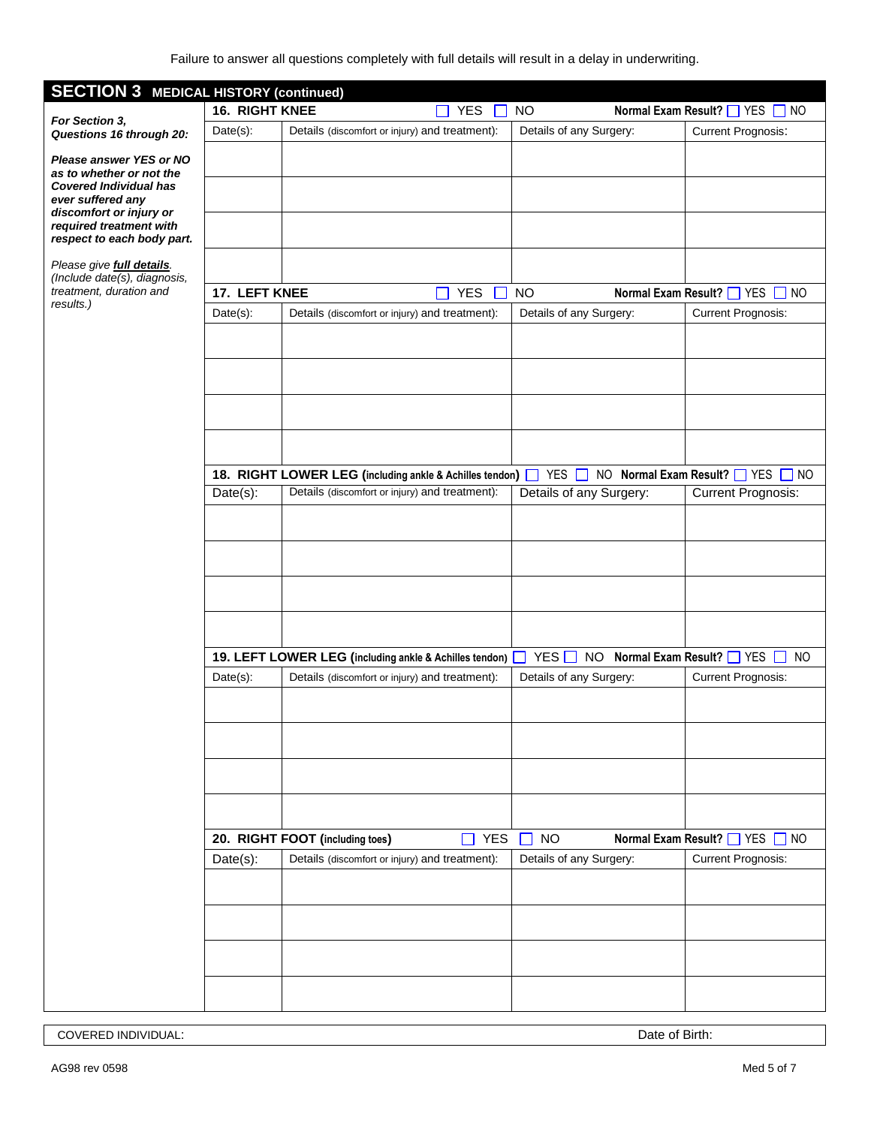| <b>SECTION 3 MEDICAL HISTORY (continued)</b>                                                                                                                    |                |                                                          |                            |                                         |                                          |
|-----------------------------------------------------------------------------------------------------------------------------------------------------------------|----------------|----------------------------------------------------------|----------------------------|-----------------------------------------|------------------------------------------|
|                                                                                                                                                                 | 16. RIGHT KNEE |                                                          | YES<br>$\Box$              | <b>NO</b>                               | Normal Exam Result? THES NO              |
| For Section 3,<br>Questions 16 through 20:                                                                                                                      | $Date(s)$ :    | Details (discomfort or injury) and treatment):           |                            | Details of any Surgery:                 | Current Prognosis:                       |
| Please answer YES or NO<br>as to whether or not the<br><b>Covered Individual has</b><br>ever suffered any<br>discomfort or injury or<br>required treatment with |                |                                                          |                            |                                         |                                          |
| respect to each body part.                                                                                                                                      |                |                                                          |                            |                                         |                                          |
| Please give full details.<br>(Include date(s), diagnosis,                                                                                                       |                |                                                          |                            |                                         |                                          |
| treatment, duration and                                                                                                                                         | 17. LEFT KNEE  |                                                          | <b>YES</b><br>$\mathbf{L}$ | <b>NO</b>                               | Normal Exam Result? THES NO              |
| results.)                                                                                                                                                       | $Date(s)$ :    | Details (discomfort or injury) and treatment):           |                            | Details of any Surgery:                 | <b>Current Prognosis:</b>                |
|                                                                                                                                                                 |                |                                                          |                            |                                         |                                          |
|                                                                                                                                                                 |                |                                                          |                            |                                         |                                          |
|                                                                                                                                                                 |                |                                                          |                            |                                         |                                          |
|                                                                                                                                                                 |                |                                                          |                            |                                         |                                          |
|                                                                                                                                                                 |                |                                                          |                            |                                         |                                          |
|                                                                                                                                                                 |                | 18. RIGHT LOWER LEG (including ankle & Achilles tendon)  |                            | YES $\Box$                              | NO Normal Exam Result? TYES<br>$\Box$ No |
|                                                                                                                                                                 | Date(s):       | Details (discomfort or injury) and treatment):           |                            | Details of any Surgery:                 | <b>Current Prognosis:</b>                |
|                                                                                                                                                                 |                |                                                          |                            |                                         |                                          |
|                                                                                                                                                                 |                |                                                          |                            |                                         |                                          |
|                                                                                                                                                                 |                |                                                          |                            |                                         |                                          |
|                                                                                                                                                                 |                |                                                          |                            |                                         |                                          |
|                                                                                                                                                                 |                |                                                          |                            |                                         |                                          |
|                                                                                                                                                                 |                |                                                          |                            |                                         |                                          |
|                                                                                                                                                                 |                | 19. LEFT LOWER LEG (including ankle & Achilles tendon) [ |                            | YES<br><b>NO</b><br>Normal Exam Result? | <b>YES</b><br><sub>NO</sub>              |
|                                                                                                                                                                 | $Date(s)$ :    | Details (discomfort or injury) and treatment):           |                            | Details of any Surgery:                 | <b>Current Prognosis:</b>                |
|                                                                                                                                                                 |                |                                                          |                            |                                         |                                          |
|                                                                                                                                                                 |                |                                                          |                            |                                         |                                          |
|                                                                                                                                                                 |                |                                                          |                            |                                         |                                          |
|                                                                                                                                                                 |                |                                                          |                            |                                         |                                          |
|                                                                                                                                                                 |                |                                                          |                            |                                         |                                          |
|                                                                                                                                                                 |                | 20. RIGHT FOOT (including toes)                          | <b>YES</b><br>П            | <b>NO</b>                               | Normal Exam Result?   YES   NO           |
|                                                                                                                                                                 | Date(s):       | Details (discomfort or injury) and treatment):           |                            | Details of any Surgery:                 | <b>Current Prognosis:</b>                |
|                                                                                                                                                                 |                |                                                          |                            |                                         |                                          |
|                                                                                                                                                                 |                |                                                          |                            |                                         |                                          |
|                                                                                                                                                                 |                |                                                          |                            |                                         |                                          |
|                                                                                                                                                                 |                |                                                          |                            |                                         |                                          |
|                                                                                                                                                                 |                |                                                          |                            |                                         |                                          |

COVERED INDIVIDUAL: Date of Birth: Date of Birth: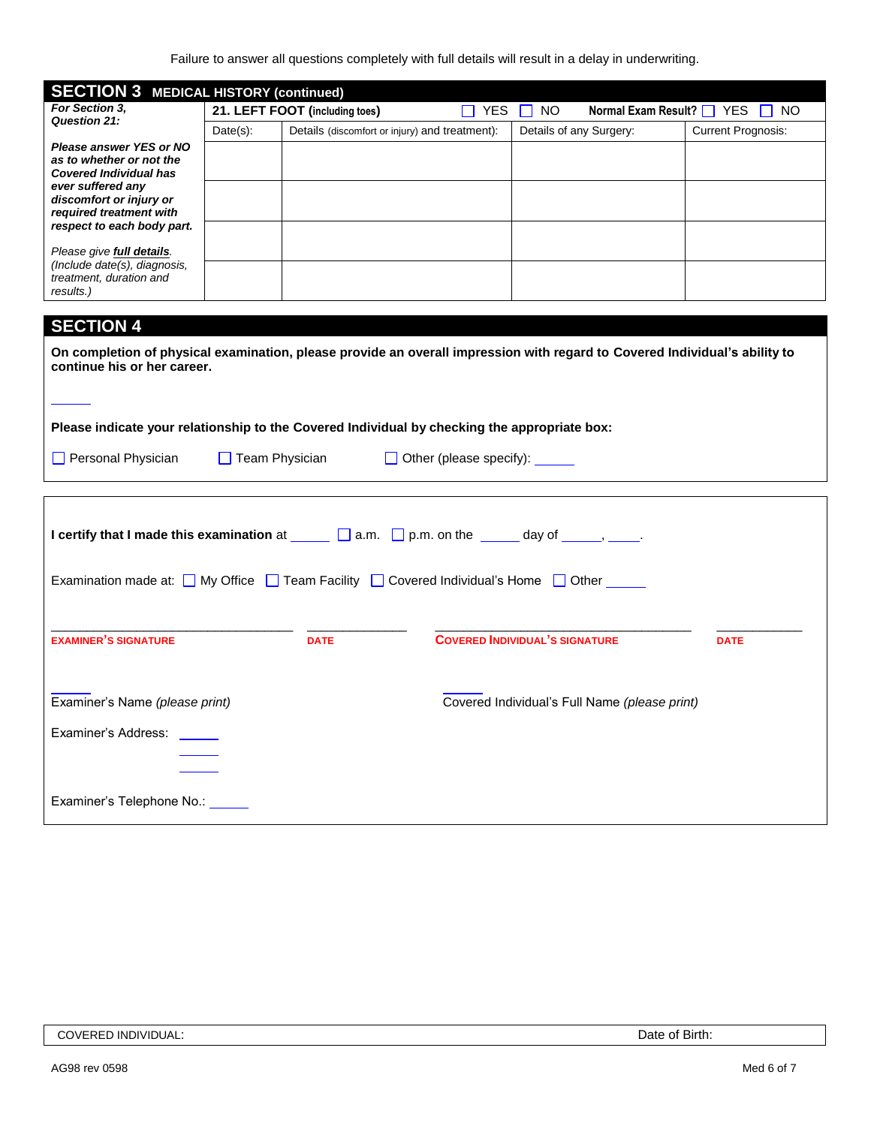Failure to answer all questions completely with full details will result in a delay in underwriting.

| <b>SECTION 3 MEDICAL HISTORY (continued)</b>                                                                    |                       |                                                |                                |                                                                                                                            |                                |  |
|-----------------------------------------------------------------------------------------------------------------|-----------------------|------------------------------------------------|--------------------------------|----------------------------------------------------------------------------------------------------------------------------|--------------------------------|--|
| For Section 3,                                                                                                  |                       | 21. LEFT FOOT (including toes)                 | $\Box$ YES $\Box$              | <b>NO</b>                                                                                                                  | Normal Exam Result? ■ YES ■ NO |  |
| <b>Question 21:</b>                                                                                             | $Date(s)$ :           | Details (discomfort or injury) and treatment): |                                | Details of any Surgery:                                                                                                    | <b>Current Prognosis:</b>      |  |
| Please answer YES or NO<br>as to whether or not the                                                             |                       |                                                |                                |                                                                                                                            |                                |  |
| <b>Covered Individual has</b>                                                                                   |                       |                                                |                                |                                                                                                                            |                                |  |
| ever suffered any                                                                                               |                       |                                                |                                |                                                                                                                            |                                |  |
| discomfort or injury or<br>required treatment with                                                              |                       |                                                |                                |                                                                                                                            |                                |  |
| respect to each body part.                                                                                      |                       |                                                |                                |                                                                                                                            |                                |  |
| Please give full details.                                                                                       |                       |                                                |                                |                                                                                                                            |                                |  |
| (Include date(s), diagnosis,                                                                                    |                       |                                                |                                |                                                                                                                            |                                |  |
| treatment, duration and<br>results.)                                                                            |                       |                                                |                                |                                                                                                                            |                                |  |
|                                                                                                                 |                       |                                                |                                |                                                                                                                            |                                |  |
| <b>SECTION 4</b>                                                                                                |                       |                                                |                                |                                                                                                                            |                                |  |
|                                                                                                                 |                       |                                                |                                |                                                                                                                            |                                |  |
| continue his or her career.                                                                                     |                       |                                                |                                | On completion of physical examination, please provide an overall impression with regard to Covered Individual's ability to |                                |  |
|                                                                                                                 |                       |                                                |                                |                                                                                                                            |                                |  |
|                                                                                                                 |                       |                                                |                                |                                                                                                                            |                                |  |
| Please indicate your relationship to the Covered Individual by checking the appropriate box:                    |                       |                                                |                                |                                                                                                                            |                                |  |
|                                                                                                                 |                       |                                                |                                |                                                                                                                            |                                |  |
| Personal Physician                                                                                              | $\Box$ Team Physician |                                                | Other (please specify): ______ |                                                                                                                            |                                |  |
|                                                                                                                 |                       |                                                |                                |                                                                                                                            |                                |  |
|                                                                                                                 |                       |                                                |                                |                                                                                                                            |                                |  |
|                                                                                                                 |                       |                                                |                                |                                                                                                                            |                                |  |
| <b>I certify that I made this examination</b> at $\Box$ a.m. $\Box$ p.m. on the $\Box$ day of $\Box$ , $\Box$ . |                       |                                                |                                |                                                                                                                            |                                |  |
|                                                                                                                 |                       |                                                |                                |                                                                                                                            |                                |  |
| Examination made at: ■ My Office ■ Team Facility ■ Covered Individual's Home ■ Other                            |                       |                                                |                                |                                                                                                                            |                                |  |
|                                                                                                                 |                       |                                                |                                |                                                                                                                            |                                |  |
|                                                                                                                 |                       |                                                |                                |                                                                                                                            |                                |  |
| <b>EXAMINER'S SIGNATURE</b>                                                                                     |                       | <b>DATE</b>                                    |                                | <b>COVERED INDIVIDUAL'S SIGNATURE</b>                                                                                      | <b>DATE</b>                    |  |
|                                                                                                                 |                       |                                                |                                |                                                                                                                            |                                |  |
|                                                                                                                 |                       |                                                |                                |                                                                                                                            |                                |  |
|                                                                                                                 |                       |                                                |                                |                                                                                                                            |                                |  |
| Examiner's Name (please print)                                                                                  |                       |                                                |                                | Covered Individual's Full Name (please print)                                                                              |                                |  |
| Examiner's Address:                                                                                             |                       |                                                |                                |                                                                                                                            |                                |  |
|                                                                                                                 |                       |                                                |                                |                                                                                                                            |                                |  |
|                                                                                                                 |                       |                                                |                                |                                                                                                                            |                                |  |
|                                                                                                                 |                       |                                                |                                |                                                                                                                            |                                |  |
| Examiner's Telephone No.: _____                                                                                 |                       |                                                |                                |                                                                                                                            |                                |  |
|                                                                                                                 |                       |                                                |                                |                                                                                                                            |                                |  |